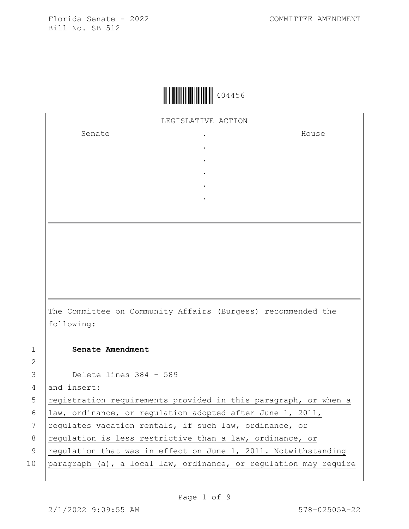

LEGISLATIVE ACTION

. . . . .

Senate .

House

The Committee on Community Affairs (Burgess) recommended the following: 1 **Senate Amendment**  3 Delete lines 384 - 589

4 and insert:

2

5 registration requirements provided in this paragraph, or when a

6 law, ordinance, or regulation adopted after June 1, 2011,

7 regulates vacation rentals, if such law, ordinance, or

8 regulation is less restrictive than a law, ordinance, or

- 9 | regulation that was in effect on June 1, 2011. Notwithstanding
- 10 paragraph (a), a local law, ordinance, or regulation may require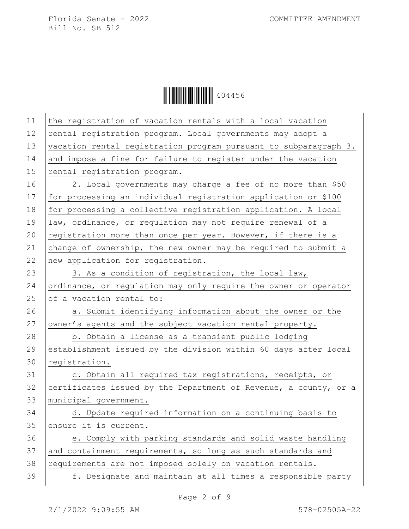| 11 | the registration of vacation rentals with a local vacation       |
|----|------------------------------------------------------------------|
| 12 | rental registration program. Local governments may adopt a       |
| 13 | vacation rental registration program pursuant to subparagraph 3. |
| 14 | and impose a fine for failure to register under the vacation     |
| 15 | rental registration program.                                     |
| 16 | 2. Local governments may charge a fee of no more than \$50       |
| 17 | for processing an individual registration application or \$100   |
| 18 | for processing a collective registration application. A local    |
| 19 | law, ordinance, or regulation may not require renewal of a       |
| 20 | registration more than once per year. However, if there is a     |
| 21 | change of ownership, the new owner may be required to submit a   |
| 22 | new application for registration.                                |
| 23 | 3. As a condition of registration, the local law,                |
| 24 | ordinance, or regulation may only require the owner or operator  |
| 25 | of a vacation rental to:                                         |
| 26 | a. Submit identifying information about the owner or the         |
| 27 | owner's agents and the subject vacation rental property.         |
| 28 | b. Obtain a license as a transient public lodging                |
| 29 | establishment issued by the division within 60 days after local  |
| 30 | registration.                                                    |
| 31 | c. Obtain all required tax registrations, receipts, or           |
| 32 | certificates issued by the Department of Revenue, a county, or a |
| 33 | municipal government.                                            |
| 34 | d. Update required information on a continuing basis to          |
| 35 | ensure it is current.                                            |
| 36 | e. Comply with parking standards and solid waste handling        |
| 37 | and containment requirements, so long as such standards and      |
| 38 | requirements are not imposed solely on vacation rentals.         |
| 39 | f. Designate and maintain at all times a responsible party       |
|    |                                                                  |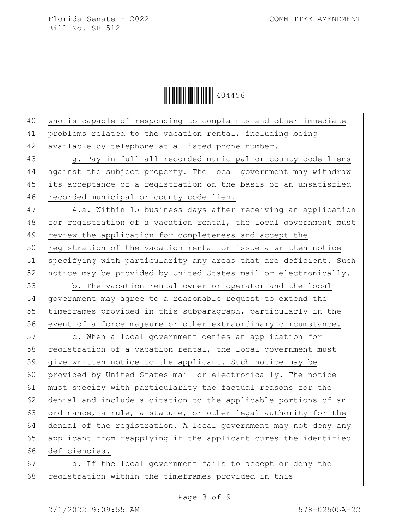| 40 | who is capable of responding to complaints and other immediate   |
|----|------------------------------------------------------------------|
| 41 | problems related to the vacation rental, including being         |
| 42 | available by telephone at a listed phone number.                 |
| 43 | g. Pay in full all recorded municipal or county code liens       |
| 44 | against the subject property. The local government may withdraw  |
| 45 | its acceptance of a registration on the basis of an unsatisfied  |
| 46 | recorded municipal or county code lien.                          |
| 47 | 4.a. Within 15 business days after receiving an application      |
| 48 | for registration of a vacation rental, the local government must |
| 49 | review the application for completeness and accept the           |
| 50 | registration of the vacation rental or issue a written notice    |
| 51 | specifying with particularity any areas that are deficient. Such |
| 52 | notice may be provided by United States mail or electronically.  |
| 53 | b. The vacation rental owner or operator and the local           |
| 54 | government may agree to a reasonable request to extend the       |
| 55 | timeframes provided in this subparagraph, particularly in the    |
| 56 | event of a force majeure or other extraordinary circumstance.    |
| 57 | c. When a local government denies an application for             |
| 58 | registration of a vacation rental, the local government must     |
| 59 | give written notice to the applicant. Such notice may be         |
| 60 | provided by United States mail or electronically. The notice     |
| 61 | must specify with particularity the factual reasons for the      |
| 62 | denial and include a citation to the applicable portions of an   |
| 63 | ordinance, a rule, a statute, or other legal authority for the   |
| 64 | denial of the registration. A local government may not deny any  |
| 65 | applicant from reapplying if the applicant cures the identified  |
| 66 | deficiencies.                                                    |
| 67 | d. If the local government fails to accept or deny the           |
| 68 | registration within the timeframes provided in this              |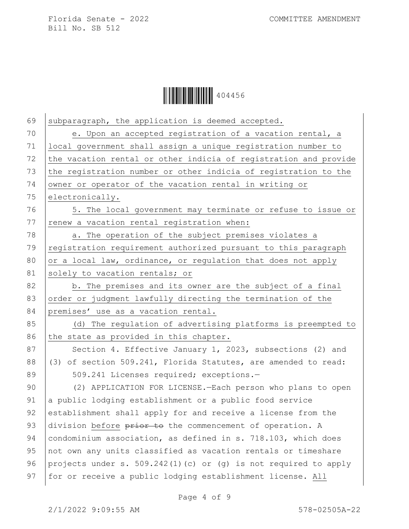

| 69 | subparagraph, the application is deemed accepted.                |
|----|------------------------------------------------------------------|
| 70 | e. Upon an accepted registration of a vacation rental, a         |
| 71 | local government shall assign a unique registration number to    |
| 72 | the vacation rental or other indicia of registration and provide |
| 73 | the registration number or other indicia of registration to the  |
| 74 | owner or operator of the vacation rental in writing or           |
| 75 | electronically.                                                  |
| 76 | 5. The local government may terminate or refuse to issue or      |
| 77 | renew a vacation rental registration when:                       |
| 78 | a. The operation of the subject premises violates a              |
| 79 | registration requirement authorized pursuant to this paragraph   |
| 80 | or a local law, ordinance, or regulation that does not apply     |
| 81 | solely to vacation rentals; or                                   |
| 82 | b. The premises and its owner are the subject of a final         |
| 83 | order or judgment lawfully directing the termination of the      |
| 84 | premises' use as a vacation rental.                              |
| 85 | (d) The regulation of advertising platforms is preempted to      |
| 86 | the state as provided in this chapter.                           |
| 87 | Section 4. Effective January 1, 2023, subsections (2) and        |
| 88 | (3) of section 509.241, Florida Statutes, are amended to read:   |
| 89 | 509.241 Licenses required; exceptions.-                          |
| 90 | (2) APPLICATION FOR LICENSE. - Each person who plans to open     |
| 91 | a public lodging establishment or a public food service          |
| 92 | establishment shall apply for and receive a license from the     |
| 93 | division before prior to the commencement of operation. A        |
| 94 | condominium association, as defined in s. 718.103, which does    |
| 95 | not own any units classified as vacation rentals or timeshare    |
| 96 | projects under s. 509.242(1)(c) or (q) is not required to apply  |
| 97 | for or receive a public lodging establishment license. All       |
|    |                                                                  |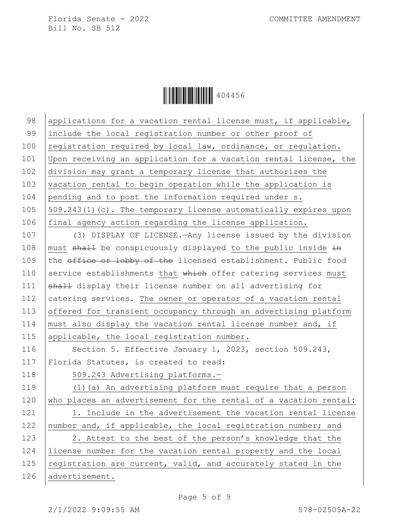Ì4044562Î404456

98 applications for a vacation rental license must, if applicable, 99 include the local registration number or other proof of 100 registration required by local law, ordinance, or regulation. 101 Upon receiving an application for a vacation rental license, the 102 division may grant a temporary license that authorizes the 103 vacation rental to begin operation while the application is 104 pending and to post the information required under s. 105  $\vert$  509.243(1)(c). The temporary license automatically expires upon 106 final agency action regarding the license application. 107 (3) DISPLAY OF LICENSE.—Any license issued by the division 108 | must  $shall$  be conspicuously displayed to the public inside  $\pm n$ 109 the office or lobby of the licensed establishment. Public food 110 Service establishments that  $\frac{1}{2}$  which offer catering services must 111 shall display their license number on all advertising for 112 catering services. The owner or operator of a vacation rental 113 offered for transient occupancy through an advertising platform 114  $\vert$  must also display the vacation rental license number and, if 115 | applicable, the local registration number. 116 | Section 5. Effective January 1, 2023, section 509.243, 117 | Florida Statutes, is created to read: 118 | 509.243 Advertising platforms.-119 (1)(a) An advertising platform must require that a person 120 who places an advertisement for the rental of a vacation rental: 121 | 1. Include in the advertisement the vacation rental license 122 number and, if applicable, the local registration number; and 123 | 2. Attest to the best of the person's knowledge that the 124 license number for the vacation rental property and the local 125 registration are current, valid, and accurately stated in the 126 advertisement.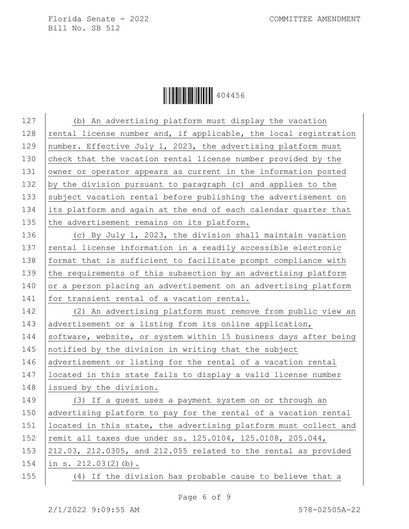Ì4044562Î404456

127 (b) An advertising platform must display the vacation 128  $|$  rental license number and, if applicable, the local registration 129 | number. Effective July 1, 2023, the advertising platform must 130 check that the vacation rental license number provided by the 131 owner or operator appears as current in the information posted 132 by the division pursuant to paragraph (c) and applies to the 133 subject vacation rental before publishing the advertisement on 134 its platform and again at the end of each calendar quarter that 135 the advertisement remains on its platform. 136 (c) By July 1, 2023, the division shall maintain vacation 137 rental license information in a readily accessible electronic 138 | format that is sufficient to facilitate prompt compliance with 139 the requirements of this subsection by an advertising platform 140 or a person placing an advertisement on an advertising platform 141 for transient rental of a vacation rental. 142 (2) An advertising platform must remove from public view an 143 advertisement or a listing from its online application, 144 Software, website, or system within 15 business days after being 145 notified by the division in writing that the subject 146 advertisement or listing for the rental of a vacation rental 147 located in this state fails to display a valid license number 148 issued by the division. 149 (3) If a guest uses a payment system on or through an 150 advertising platform to pay for the rental of a vacation rental 151 | located in this state, the advertising platform must collect and 152 | remit all taxes due under ss. 125.0104, 125.0108, 205.044, 153  $\vert$  212.03, 212.0305, and 212.055 related to the rental as provided 154 in s. 212.03(2)(b). 155 (4) If the division has probable cause to believe that a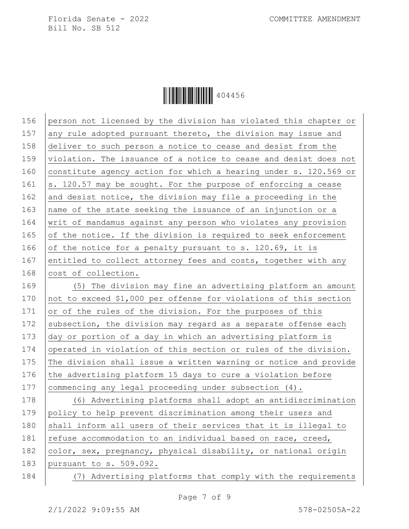**ÖEFFERDER (1990)** 404456

156 person not licensed by the division has violated this chapter or 157 any rule adopted pursuant thereto, the division may issue and 158 deliver to such person a notice to cease and desist from the 159 violation. The issuance of a notice to cease and desist does not 160 constitute agency action for which a hearing under s. 120.569 or 161  $\vert$  s. 120.57 may be sought. For the purpose of enforcing a cease 162 and desist notice, the division may file a proceeding in the 163 name of the state seeking the issuance of an injunction or a 164 writ of mandamus against any person who violates any provision 165 of the notice. If the division is required to seek enforcement 166 of the notice for a penalty pursuant to s. 120.69, it is 167 entitled to collect attorney fees and costs, together with any 168 cost of collection. 169 (5) The division may fine an advertising platform an amount 170 not to exceed \$1,000 per offense for violations of this section 171 or of the rules of the division. For the purposes of this 172 subsection, the division may regard as a separate offense each 173 day or portion of a day in which an advertising platform is 174 operated in violation of this section or rules of the division. 175 The division shall issue a written warning or notice and provide 176 the advertising platform 15 days to cure a violation before 177 commencing any legal proceeding under subsection (4). 178 (6) Advertising platforms shall adopt an antidiscrimination 179 policy to help prevent discrimination among their users and 180  $\vert$  shall inform all users of their services that it is illegal to 181  $\vert$  refuse accommodation to an individual based on race, creed,

182 color, sex, pregnancy, physical disability, or national origin 183 pursuant to s. 509.092.

184 (7) Advertising platforms that comply with the requirements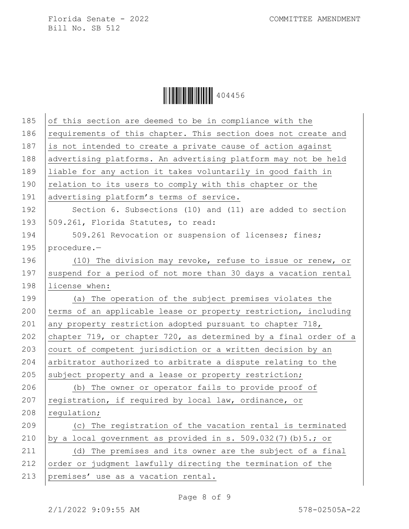| 185 | of this section are deemed to be in compliance with the          |
|-----|------------------------------------------------------------------|
| 186 | requirements of this chapter. This section does not create and   |
| 187 | is not intended to create a private cause of action against      |
| 188 | advertising platforms. An advertising platform may not be held   |
| 189 | liable for any action it takes voluntarily in good faith in      |
| 190 | relation to its users to comply with this chapter or the         |
| 191 | advertising platform's terms of service.                         |
| 192 | Section 6. Subsections (10) and (11) are added to section        |
| 193 | 509.261, Florida Statutes, to read:                              |
| 194 | 509.261 Revocation or suspension of licenses; fines;             |
| 195 | procedure.-                                                      |
| 196 | (10) The division may revoke, refuse to issue or renew, or       |
| 197 | suspend for a period of not more than 30 days a vacation rental  |
| 198 | license when:                                                    |
| 199 | (a) The operation of the subject premises violates the           |
| 200 | terms of an applicable lease or property restriction, including  |
| 201 | any property restriction adopted pursuant to chapter 718,        |
| 202 | chapter 719, or chapter 720, as determined by a final order of a |
| 203 | court of competent jurisdiction or a written decision by an      |
| 204 | arbitrator authorized to arbitrate a dispute relating to the     |
| 205 | subject property and a lease or property restriction;            |
| 206 | (b) The owner or operator fails to provide proof of              |
| 207 | registration, if required by local law, ordinance, or            |
| 208 | requlation;                                                      |
| 209 | (c) The registration of the vacation rental is terminated        |
| 210 | by a local government as provided in s. 509.032(7) (b) 5.; or    |
| 211 | (d) The premises and its owner are the subject of a final        |
| 212 | order or judgment lawfully directing the termination of the      |
| 213 | premises' use as a vacation rental.                              |
|     |                                                                  |